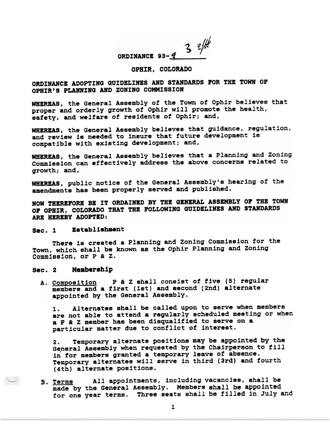ORDINANCE 93- $\frac{3}{4}$ 

### OPHIR, COLORADO

# ORDINANCE ADOPTING GUIDELINES AND STANDARDS POR THE TOWN OF OPHIR'S PLANNING AND ZONING COMMISSION

WHEREAS, the General Assembly of the Town of Ophir believes tha proper and orderly growth of Ophir will promote the health, safety, and welfare of residents of Ophir; and,

WHEREAS, the General Assembly believes that guidance, regulation, and review is needed to insure that future development is compatible with existing development; and,

WHEREAS, the General Assembly believes that a Planning and Zoning Commission can effectively address the above concerns related to growth; and,

WHEREAS, public notice of the General Assembly's hearing of the amendments has been properly served and published.

NOW THEREFORE BE IT ORDAINED BY THE GENERAL ASSEMBLY OP THE TOWN OF OPHIR, COLORADO THAT THE FOLLOWING GUIDELINES AND STANDARDS ARE HEREBY ADOPTED:

#### Sec. 1 Establishment

There is created a Planning and Zoning Commission for the Town, which shall be known as the Ophir Planning and Zonin Commission, or P & Z.

#### Sec. 2 Membersh1p

A. Composition D & Z shall consist of five (5) regul members and a first (1st) and second (2nd) alterna appointed by the General Assembly.

1. Alternates shall be called upon to serve when members are not able to attend a regularly scheduled meeting or when a P & Z member has been disqualified to serve on a particular matter due to conflict of interest.

2. Temporary alternate positions may be appointed by the I. It is not the properties of the Chairperson to fill in for members granted a temporary leave of absence Temporary alternates will serve in third (3rd) and four (4th) alternate positions.

B. Terms all appointments, including vacancies, shall be made by the General Assembly. Members shall be appoint for one year terms. Three seats shall be filled in July and B. Terms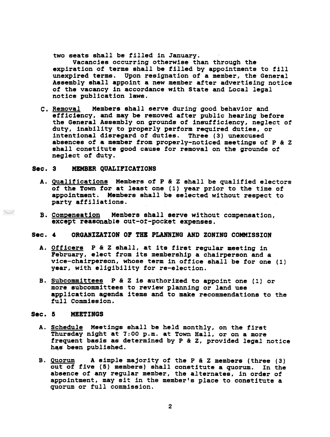two seats shall be filled in January.

Vacancies occurring otherwise than through the expiration of terms shall be filled by appointments to till unexpired terms. Upon resignation of a member, the General Assembly shall appoint a new member after advertising notice of the vacancy in accordance with State and Local legal notice publication laws.

c. Removal Members shall serve during good behavior and efficiency, and may be removed after public hearing before the General Assembly on grounds of insufficiency, neglect of duty, inability to properly perform required duties, or intentional disregard of duties. Three (3) unexcused absences of a member from properly-noticed meetings of  $P$  &  $Z$ shall constitute good cause for removal on the grounds of neglect of duty.

# Sec. 3 MEMBER QUALIFICATIONS

- A. Qualifications Members of P & Z shall be qualified electors of the Town for at least one (1) year prior to the time of appointment. Members shall be selected without respect to party affiliations.
- B. Compensation except reasonable out-of-pocket expense Members shall serve without compensation,
- Sec. 4 ORGANIZATION OF THE PLANNING AND ZONING COMMISSION
	- A. Officers P & Z shall, at its first regular meeting in February, elect from its membership a chairperson and a vice-chairperson, whose term in office shall be for one (1) year, with eligibility for re-election.
	- B. Subcommittees P & Z is authorized to appoint one (1) or more subcommittees to review planning or land use application agenda items and to make recommendations to the full Commission.

#### Sec. 5 MEETINGS

- A. Schedule Meetings shall be held monthly, on the first Thursday night at 7:00 p.m. at Town Hall, or on a more frequent basis as determined by P & Z, provided legal notice has been published.
- B. Quorum A simple majority of the P & Z members (three (3) out of five (5) members) shall constitute a quorum. In the absence of any regular member, the alternates, in order of appointment, may sit in the member's place to constitute a quorum or full commission.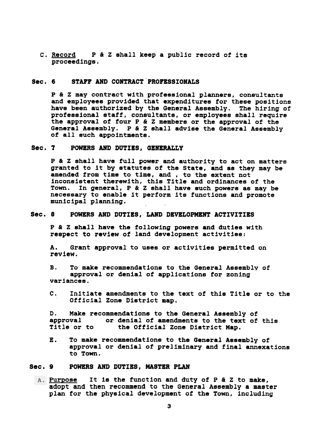C. <u>Record</u> P & Z shall keep a public record of it proceedings.

# Sec. 6 STAFF AND CONTRACT PROFESSIONALS

P & Z may contract with professional planners, consultants and employees provided that expenditures for these positions have been authorized by the General Assembly. The hiring of professional staff, consultants, or employees shall require the approval of four P & Z members or the approval of the General Assembly. P & Z shall advise the General Assembly of all such appointments.

#### Sec. 7 POWERS AND DUTIES, GENERALLY

P & Z shall have full power and authority to act on matters granted to it by statutes of the State, and as they may be amended from time to time, and, to the extent not inconsistent therewith, this Title and ordinances of the Town. In general, P & Z shall have such powers as may be necessary to enable it perform its functions and promote municipal planning.

# Sec. 8 POWERS AND DUTIES, LAND DEVELOPMENT ACTIVITIES

P & Z shall have the following powers and duties with respect to review of land development activit

A. Grant approval to uses or activities permitted on review.

B. To make recommendations to the General Assembly of approval or denial of applications for zoning variances.

C. Initiate amendments to the text of this Title or to the Official Zone District map.

D. Make recommendations to the General Assembly of approval or denial of amendments to the text of this<br>Title or to the Official Zone District Map. the Official Zone District Map.

E. To make recommendations to the General Assembly of approval or denial of preliminary and final annexations to Town.

# Sec. 9 POWERS AND DUTIES, MASTER PLAN

Purpose It is the function and duty of P & Z to make, adopt and then recommend to the General Assembly a master plan for the physical development of the Town, including